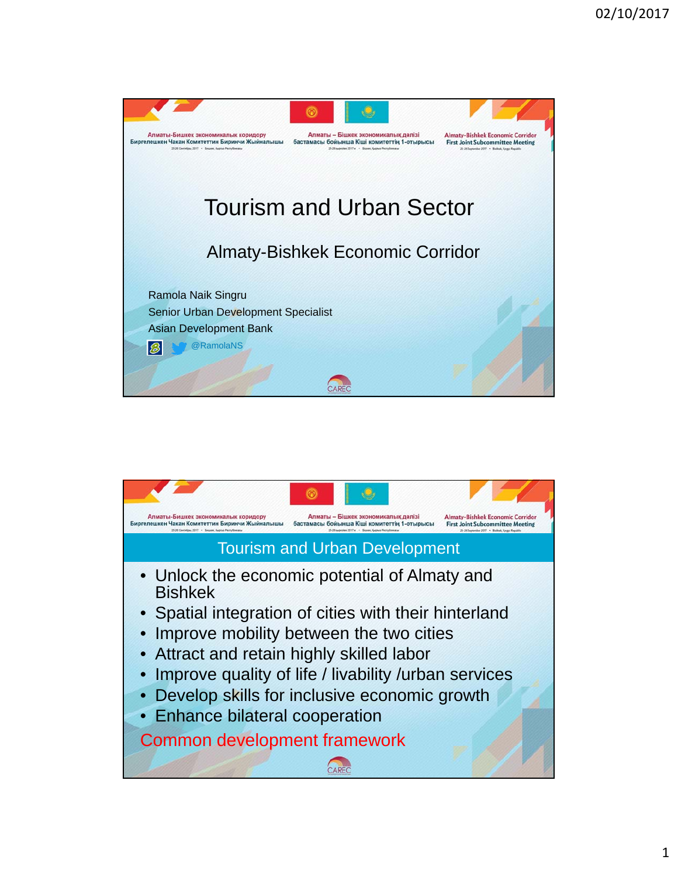

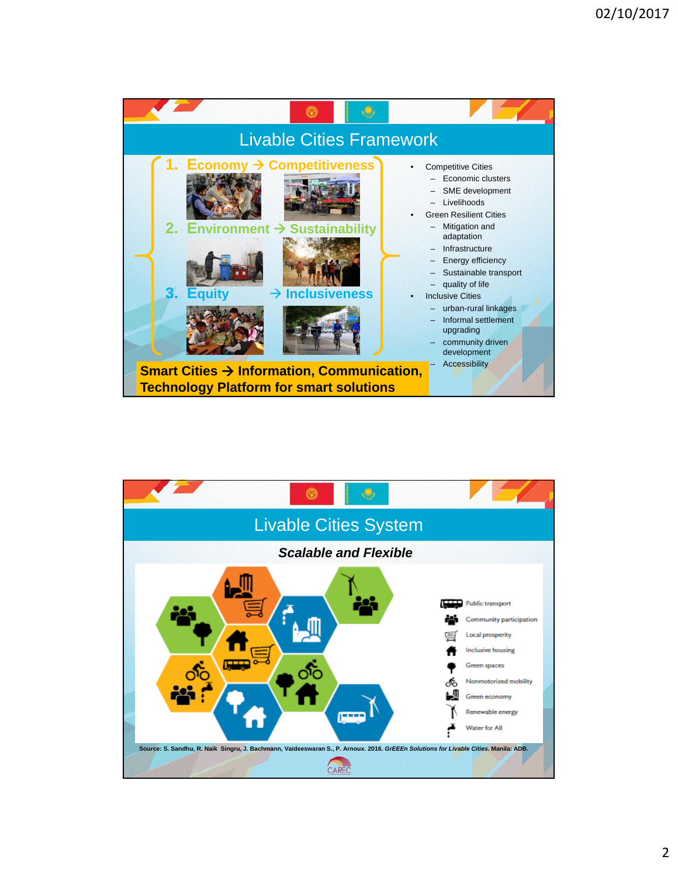

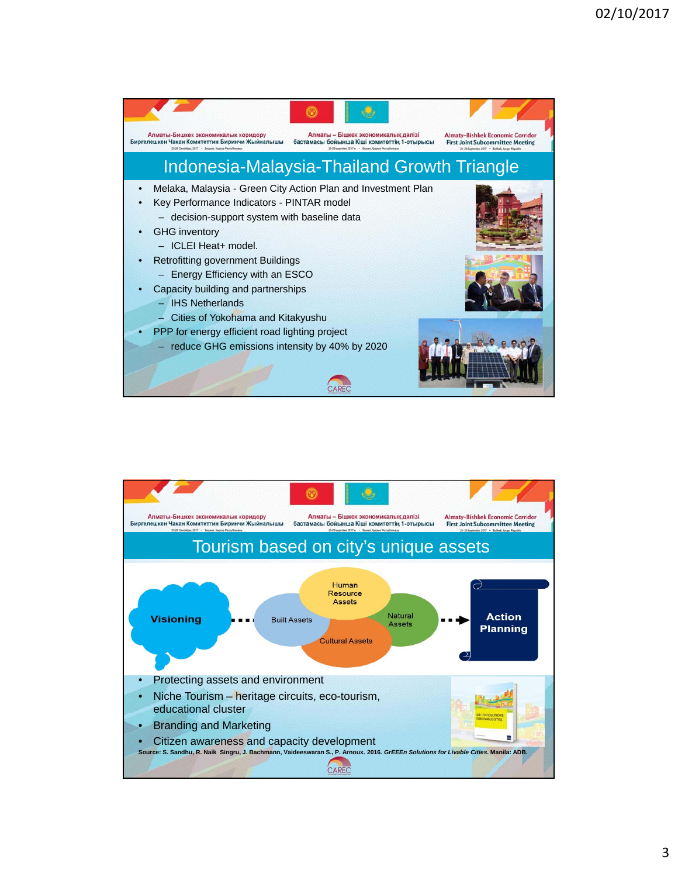

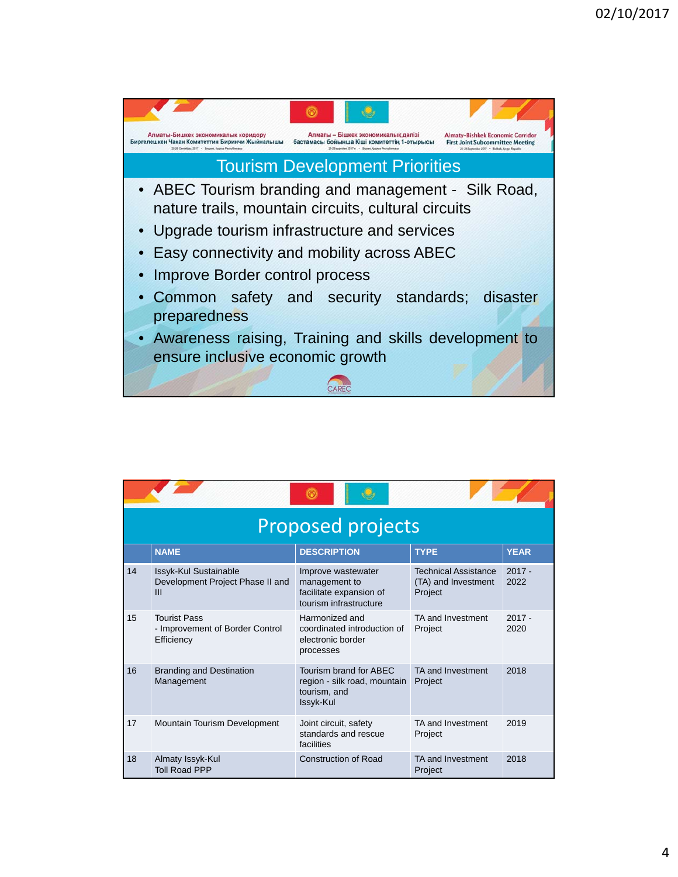

|    | <b>Proposed projects</b>                                                    |                                                                                          |                                                               |                  |  |  |
|----|-----------------------------------------------------------------------------|------------------------------------------------------------------------------------------|---------------------------------------------------------------|------------------|--|--|
|    | <b>NAME</b>                                                                 | <b>DESCRIPTION</b>                                                                       | <b>TYPE</b>                                                   | <b>YEAR</b>      |  |  |
| 14 | Issyk-Kul Sustainable<br>Development Project Phase II and<br>$\mathbf{III}$ | Improve wastewater<br>management to<br>facilitate expansion of<br>tourism infrastructure | <b>Technical Assistance</b><br>(TA) and Investment<br>Project | $2017 -$<br>2022 |  |  |
| 15 | <b>Tourist Pass</b><br>- Improvement of Border Control<br>Efficiency        | Harmonized and<br>coordinated introduction of<br>electronic border<br>processes          | TA and Investment<br>Project                                  | $2017 -$<br>2020 |  |  |
| 16 | <b>Branding and Destination</b><br>Management                               | Tourism brand for ABEC<br>region - silk road, mountain<br>tourism, and<br>Issyk-Kul      | TA and Investment<br>Project                                  | 2018             |  |  |
| 17 | Mountain Tourism Development                                                | Joint circuit, safety<br>standards and rescue<br>facilities                              | TA and Investment<br>Project                                  | 2019             |  |  |
| 18 | Almaty Issyk-Kul<br><b>Toll Road PPP</b>                                    | <b>Construction of Road</b>                                                              | TA and Investment<br>Project                                  | 2018             |  |  |